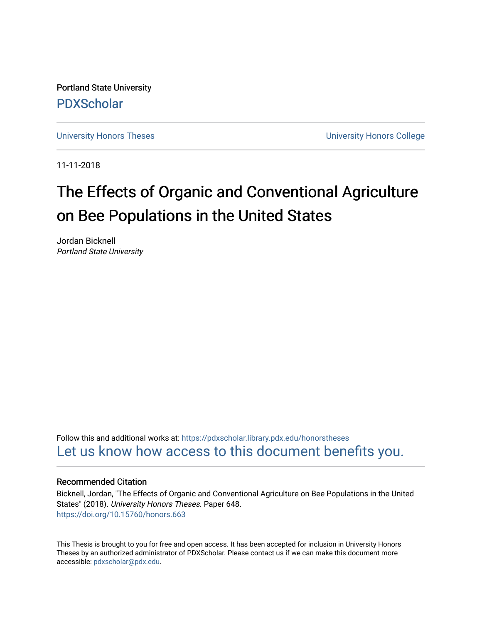Portland State University [PDXScholar](https://pdxscholar.library.pdx.edu/)

[University Honors Theses](https://pdxscholar.library.pdx.edu/honorstheses) **University Honors College** 

11-11-2018

# The Effects of Organic and Conventional Agriculture on Bee Populations in the United States

Jordan Bicknell Portland State University

Follow this and additional works at: [https://pdxscholar.library.pdx.edu/honorstheses](https://pdxscholar.library.pdx.edu/honorstheses?utm_source=pdxscholar.library.pdx.edu%2Fhonorstheses%2F648&utm_medium=PDF&utm_campaign=PDFCoverPages)  [Let us know how access to this document benefits you.](http://library.pdx.edu/services/pdxscholar-services/pdxscholar-feedback/) 

### Recommended Citation

Bicknell, Jordan, "The Effects of Organic and Conventional Agriculture on Bee Populations in the United States" (2018). University Honors Theses. Paper 648. <https://doi.org/10.15760/honors.663>

This Thesis is brought to you for free and open access. It has been accepted for inclusion in University Honors Theses by an authorized administrator of PDXScholar. Please contact us if we can make this document more accessible: [pdxscholar@pdx.edu.](mailto:pdxscholar@pdx.edu)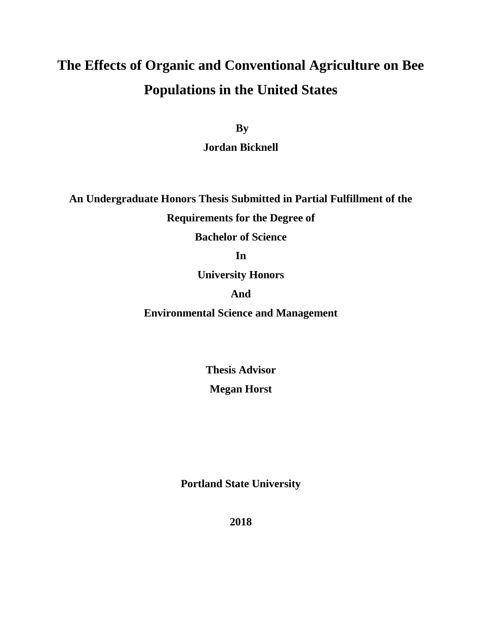# **The Effects of Organic and Conventional Agriculture on Bee Populations in the United States**

**By** 

**Jordan Bicknell**

**An Undergraduate Honors Thesis Submitted in Partial Fulfillment of the** 

**Requirements for the Degree of**

**Bachelor of Science**

**In**

**University Honors**

# **And**

**Environmental Science and Management**

**Thesis Advisor Megan Horst**

**Portland State University**

**2018**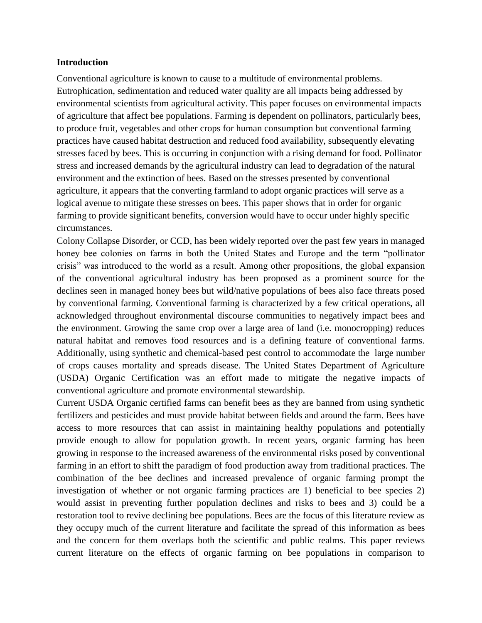#### **Introduction**

Conventional agriculture is known to cause to a multitude of environmental problems. Eutrophication, sedimentation and reduced water quality are all impacts being addressed by environmental scientists from agricultural activity. This paper focuses on environmental impacts of agriculture that affect bee populations. Farming is dependent on pollinators, particularly bees, to produce fruit, vegetables and other crops for human consumption but conventional farming practices have caused habitat destruction and reduced food availability, subsequently elevating stresses faced by bees. This is occurring in conjunction with a rising demand for food. Pollinator stress and increased demands by the agricultural industry can lead to degradation of the natural environment and the extinction of bees. Based on the stresses presented by conventional agriculture, it appears that the converting farmland to adopt organic practices will serve as a logical avenue to mitigate these stresses on bees. This paper shows that in order for organic farming to provide significant benefits, conversion would have to occur under highly specific circumstances.

Colony Collapse Disorder, or CCD, has been widely reported over the past few years in managed honey bee colonies on farms in both the United States and Europe and the term "pollinator crisis" was introduced to the world as a result. Among other propositions, the global expansion of the conventional agricultural industry has been proposed as a prominent source for the declines seen in managed honey bees but wild/native populations of bees also face threats posed by conventional farming. Conventional farming is characterized by a few critical operations, all acknowledged throughout environmental discourse communities to negatively impact bees and the environment. Growing the same crop over a large area of land (i.e. monocropping) reduces natural habitat and removes food resources and is a defining feature of conventional farms. Additionally, using synthetic and chemical-based pest control to accommodate the large number of crops causes mortality and spreads disease. The United States Department of Agriculture (USDA) Organic Certification was an effort made to mitigate the negative impacts of conventional agriculture and promote environmental stewardship.

Current USDA Organic certified farms can benefit bees as they are banned from using synthetic fertilizers and pesticides and must provide habitat between fields and around the farm. Bees have access to more resources that can assist in maintaining healthy populations and potentially provide enough to allow for population growth. In recent years, organic farming has been growing in response to the increased awareness of the environmental risks posed by conventional farming in an effort to shift the paradigm of food production away from traditional practices. The combination of the bee declines and increased prevalence of organic farming prompt the investigation of whether or not organic farming practices are 1) beneficial to bee species 2) would assist in preventing further population declines and risks to bees and 3) could be a restoration tool to revive declining bee populations. Bees are the focus of this literature review as they occupy much of the current literature and facilitate the spread of this information as bees and the concern for them overlaps both the scientific and public realms. This paper reviews current literature on the effects of organic farming on bee populations in comparison to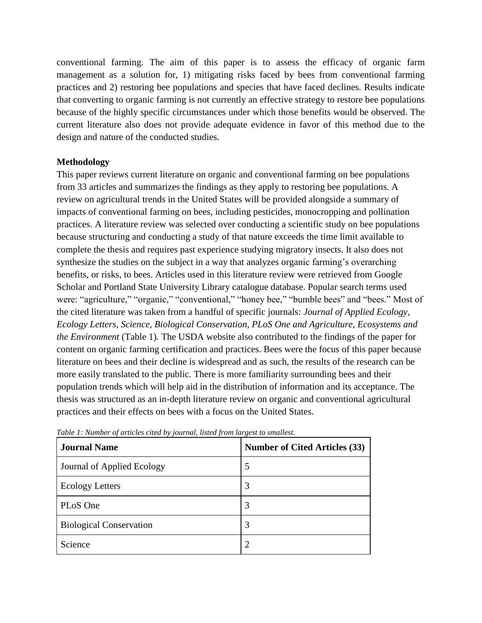conventional farming. The aim of this paper is to assess the efficacy of organic farm management as a solution for, 1) mitigating risks faced by bees from conventional farming practices and 2) restoring bee populations and species that have faced declines. Results indicate that converting to organic farming is not currently an effective strategy to restore bee populations because of the highly specific circumstances under which those benefits would be observed. The current literature also does not provide adequate evidence in favor of this method due to the design and nature of the conducted studies.

## **Methodology**

This paper reviews current literature on organic and conventional farming on bee populations from 33 articles and summarizes the findings as they apply to restoring bee populations. A review on agricultural trends in the United States will be provided alongside a summary of impacts of conventional farming on bees, including pesticides, monocropping and pollination practices. A literature review was selected over conducting a scientific study on bee populations because structuring and conducting a study of that nature exceeds the time limit available to complete the thesis and requires past experience studying migratory insects. It also does not synthesize the studies on the subject in a way that analyzes organic farming's overarching benefits, or risks, to bees. Articles used in this literature review were retrieved from Google Scholar and Portland State University Library catalogue database. Popular search terms used were: "agriculture," "organic," "conventional," "honey bee," "bumble bees" and "bees." Most of the cited literature was taken from a handful of specific journals: *Journal of Applied Ecology, Ecology Letters, Science, Biological Conservation, PLoS One and Agriculture, Ecosystems and the Environment* (Table 1)*.* The USDA website also contributed to the findings of the paper for content on organic farming certification and practices. Bees were the focus of this paper because literature on bees and their decline is widespread and as such, the results of the research can be more easily translated to the public. There is more familiarity surrounding bees and their population trends which will help aid in the distribution of information and its acceptance. The thesis was structured as an in-depth literature review on organic and conventional agricultural practices and their effects on bees with a focus on the United States.

| <b>Journal Name</b>            | <b>Number of Cited Articles (33)</b> |
|--------------------------------|--------------------------------------|
| Journal of Applied Ecology     | 5                                    |
| <b>Ecology Letters</b>         | 3                                    |
| PLoS One                       | 3                                    |
| <b>Biological Conservation</b> | 3                                    |
| Science                        | ာ                                    |

*Table 1: Number of articles cited by journal, listed from largest to smallest.*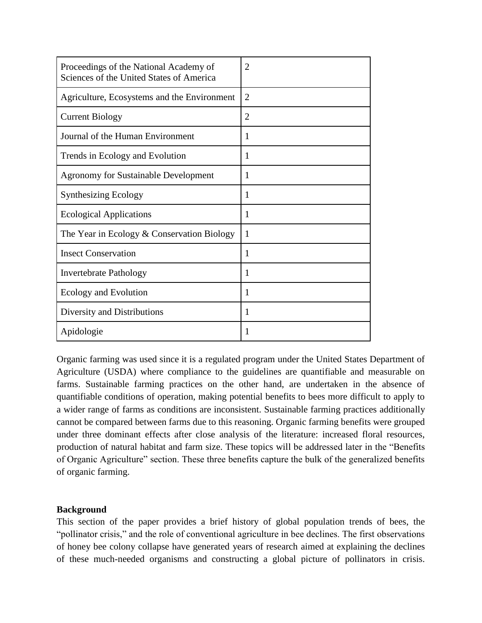| Proceedings of the National Academy of<br>Sciences of the United States of America | $\overline{2}$ |
|------------------------------------------------------------------------------------|----------------|
| Agriculture, Ecosystems and the Environment                                        | $\overline{2}$ |
| <b>Current Biology</b>                                                             | 2              |
| Journal of the Human Environment                                                   | 1              |
| Trends in Ecology and Evolution                                                    | 1              |
| <b>Agronomy for Sustainable Development</b>                                        | 1              |
| <b>Synthesizing Ecology</b>                                                        | 1              |
| <b>Ecological Applications</b>                                                     | 1              |
| The Year in Ecology $&$ Conservation Biology                                       | 1              |
| <b>Insect Conservation</b>                                                         | 1              |
| <b>Invertebrate Pathology</b>                                                      | 1              |
| Ecology and Evolution                                                              | 1              |
| Diversity and Distributions                                                        | 1              |
| Apidologie                                                                         | 1              |

Organic farming was used since it is a regulated program under the United States Department of Agriculture (USDA) where compliance to the guidelines are quantifiable and measurable on farms. Sustainable farming practices on the other hand, are undertaken in the absence of quantifiable conditions of operation, making potential benefits to bees more difficult to apply to a wider range of farms as conditions are inconsistent. Sustainable farming practices additionally cannot be compared between farms due to this reasoning. Organic farming benefits were grouped under three dominant effects after close analysis of the literature: increased floral resources, production of natural habitat and farm size. These topics will be addressed later in the "Benefits of Organic Agriculture" section. These three benefits capture the bulk of the generalized benefits of organic farming.

## **Background**

This section of the paper provides a brief history of global population trends of bees, the "pollinator crisis," and the role of conventional agriculture in bee declines. The first observations of honey bee colony collapse have generated years of research aimed at explaining the declines of these much-needed organisms and constructing a global picture of pollinators in crisis.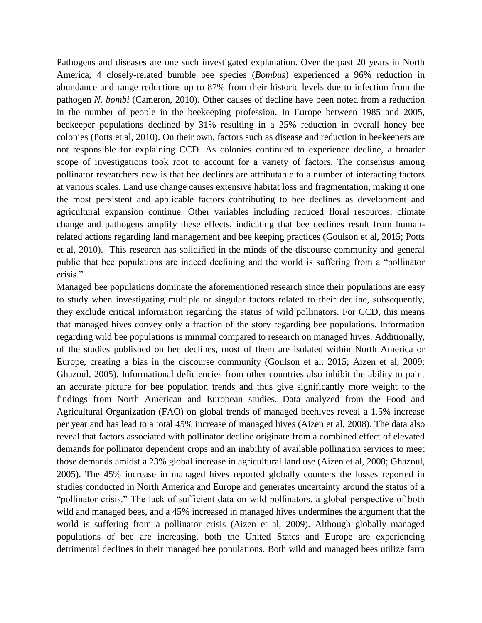Pathogens and diseases are one such investigated explanation. Over the past 20 years in North America, 4 closely-related bumble bee species (*Bombus*) experienced a 96% reduction in abundance and range reductions up to 87% from their historic levels due to infection from the pathogen *N. bombi* (Cameron, 2010). Other causes of decline have been noted from a reduction in the number of people in the beekeeping profession. In Europe between 1985 and 2005, beekeeper populations declined by 31% resulting in a 25% reduction in overall honey bee colonies (Potts et al, 2010). On their own, factors such as disease and reduction in beekeepers are not responsible for explaining CCD. As colonies continued to experience decline, a broader scope of investigations took root to account for a variety of factors. The consensus among pollinator researchers now is that bee declines are attributable to a number of interacting factors at various scales. Land use change causes extensive habitat loss and fragmentation, making it one the most persistent and applicable factors contributing to bee declines as development and agricultural expansion continue. Other variables including reduced floral resources, climate change and pathogens amplify these effects, indicating that bee declines result from humanrelated actions regarding land management and bee keeping practices (Goulson et al, 2015; Potts et al, 2010). This research has solidified in the minds of the discourse community and general public that bee populations are indeed declining and the world is suffering from a "pollinator crisis."

Managed bee populations dominate the aforementioned research since their populations are easy to study when investigating multiple or singular factors related to their decline, subsequently, they exclude critical information regarding the status of wild pollinators. For CCD, this means that managed hives convey only a fraction of the story regarding bee populations. Information regarding wild bee populations is minimal compared to research on managed hives. Additionally, of the studies published on bee declines, most of them are isolated within North America or Europe, creating a bias in the discourse community (Goulson et al, 2015; Aizen et al, 2009; Ghazoul, 2005). Informational deficiencies from other countries also inhibit the ability to paint an accurate picture for bee population trends and thus give significantly more weight to the findings from North American and European studies. Data analyzed from the Food and Agricultural Organization (FAO) on global trends of managed beehives reveal a 1.5% increase per year and has lead to a total 45% increase of managed hives (Aizen et al, 2008). The data also reveal that factors associated with pollinator decline originate from a combined effect of elevated demands for pollinator dependent crops and an inability of available pollination services to meet those demands amidst a 23% global increase in agricultural land use (Aizen et al, 2008; Ghazoul, 2005). The 45% increase in managed hives reported globally counters the losses reported in studies conducted in North America and Europe and generates uncertainty around the status of a "pollinator crisis." The lack of sufficient data on wild pollinators, a global perspective of both wild and managed bees, and a 45% increased in managed hives undermines the argument that the world is suffering from a pollinator crisis (Aizen et al, 2009). Although globally managed populations of bee are increasing, both the United States and Europe are experiencing detrimental declines in their managed bee populations. Both wild and managed bees utilize farm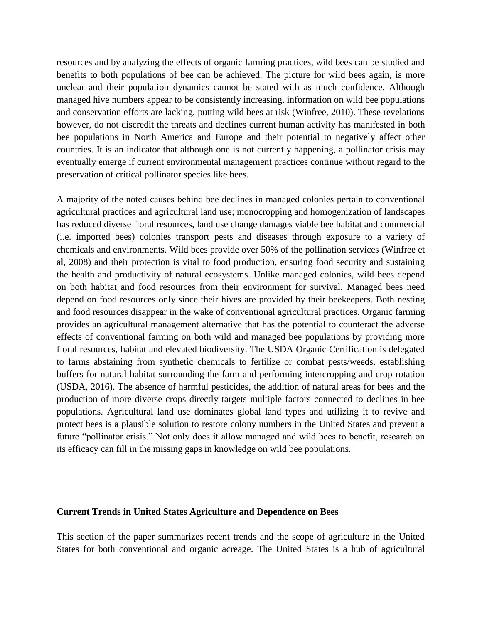resources and by analyzing the effects of organic farming practices, wild bees can be studied and benefits to both populations of bee can be achieved. The picture for wild bees again, is more unclear and their population dynamics cannot be stated with as much confidence. Although managed hive numbers appear to be consistently increasing, information on wild bee populations and conservation efforts are lacking, putting wild bees at risk (Winfree, 2010). These revelations however, do not discredit the threats and declines current human activity has manifested in both bee populations in North America and Europe and their potential to negatively affect other countries. It is an indicator that although one is not currently happening, a pollinator crisis may eventually emerge if current environmental management practices continue without regard to the preservation of critical pollinator species like bees.

A majority of the noted causes behind bee declines in managed colonies pertain to conventional agricultural practices and agricultural land use; monocropping and homogenization of landscapes has reduced diverse floral resources, land use change damages viable bee habitat and commercial (i.e. imported bees) colonies transport pests and diseases through exposure to a variety of chemicals and environments. Wild bees provide over 50% of the pollination services (Winfree et al, 2008) and their protection is vital to food production, ensuring food security and sustaining the health and productivity of natural ecosystems. Unlike managed colonies, wild bees depend on both habitat and food resources from their environment for survival. Managed bees need depend on food resources only since their hives are provided by their beekeepers. Both nesting and food resources disappear in the wake of conventional agricultural practices. Organic farming provides an agricultural management alternative that has the potential to counteract the adverse effects of conventional farming on both wild and managed bee populations by providing more floral resources, habitat and elevated biodiversity. The USDA Organic Certification is delegated to farms abstaining from synthetic chemicals to fertilize or combat pests/weeds, establishing buffers for natural habitat surrounding the farm and performing intercropping and crop rotation (USDA, 2016). The absence of harmful pesticides, the addition of natural areas for bees and the production of more diverse crops directly targets multiple factors connected to declines in bee populations. Agricultural land use dominates global land types and utilizing it to revive and protect bees is a plausible solution to restore colony numbers in the United States and prevent a future "pollinator crisis." Not only does it allow managed and wild bees to benefit, research on its efficacy can fill in the missing gaps in knowledge on wild bee populations.

#### **Current Trends in United States Agriculture and Dependence on Bees**

This section of the paper summarizes recent trends and the scope of agriculture in the United States for both conventional and organic acreage. The United States is a hub of agricultural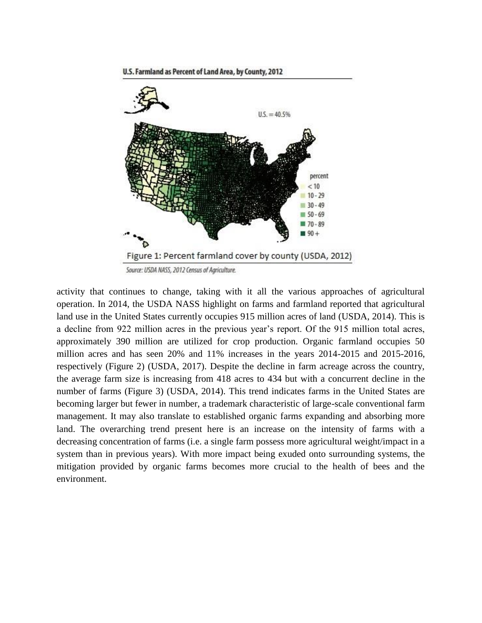U.S. Farmland as Percent of Land Area, by County, 2012



activity that continues to change, taking with it all the various approaches of agricultural operation. In 2014, the USDA NASS highlight on farms and farmland reported that agricultural land use in the United States currently occupies 915 million acres of land (USDA, 2014). This is a decline from 922 million acres in the previous year's report. Of the 915 million total acres, approximately 390 million are utilized for crop production. Organic farmland occupies 50 million acres and has seen 20% and 11% increases in the years 2014-2015 and 2015-2016, respectively (Figure 2) (USDA, 2017). Despite the decline in farm acreage across the country, the average farm size is increasing from 418 acres to 434 but with a concurrent decline in the number of farms (Figure 3) (USDA, 2014). This trend indicates farms in the United States are becoming larger but fewer in number, a trademark characteristic of large-scale conventional farm management. It may also translate to established organic farms expanding and absorbing more land. The overarching trend present here is an increase on the intensity of farms with a decreasing concentration of farms (i.e. a single farm possess more agricultural weight/impact in a system than in previous years). With more impact being exuded onto surrounding systems, the mitigation provided by organic farms becomes more crucial to the health of bees and the environment.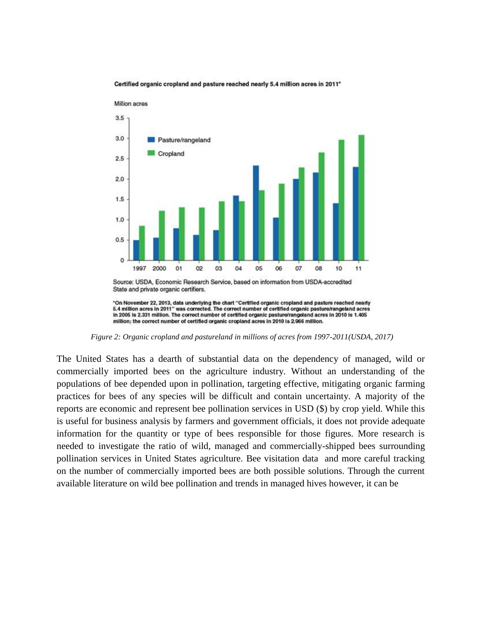

Certified organic cropland and pasture reached nearly 5.4 million acres in 2011\*

*Figure 2: Organic cropland and pastureland in millions of acres from 1997-2011(USDA, 2017)*

The United States has a dearth of substantial data on the dependency of managed, wild or commercially imported bees on the agriculture industry. Without an understanding of the populations of bee depended upon in pollination, targeting effective, mitigating organic farming practices for bees of any species will be difficult and contain uncertainty. A majority of the reports are economic and represent bee pollination services in USD (\$) by crop yield. While this is useful for business analysis by farmers and government officials, it does not provide adequate information for the quantity or type of bees responsible for those figures. More research is needed to investigate the ratio of wild, managed and commercially-shipped bees surrounding pollination services in United States agriculture. Bee visitation data and more careful tracking on the number of commercially imported bees are both possible solutions. Through the current available literature on wild bee pollination and trends in managed hives however, it can be

<sup>&</sup>quot;On November 22, 2013, data underlying the chart "Certified organic cropland and pasture reached nearly 5.4 million acres in 2011" was corrected. The correct number of certified organic pasture/rangeland acres in 2005 is 2.331 million. The correct number of certified organic pasture/rangeland acres in 2010 is 1.405 million; the correct number of certified organic cropland acres in 2010 is 2.966 million.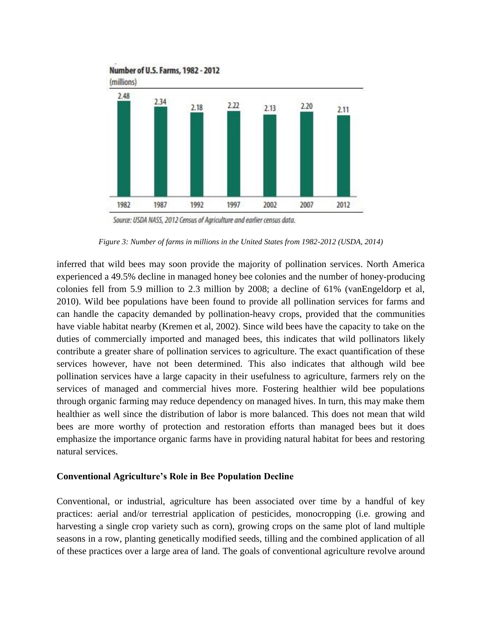

Source: USDA NASS, 2012 Census of Agriculture and earlier census data.

*Figure 3: Number of farms in millions in the United States from 1982-2012 (USDA, 2014)*

inferred that wild bees may soon provide the majority of pollination services. North America experienced a 49.5% decline in managed honey bee colonies and the number of honey-producing colonies fell from 5.9 million to 2.3 million by 2008; a decline of 61% (vanEngeldorp et al, 2010). Wild bee populations have been found to provide all pollination services for farms and can handle the capacity demanded by pollination-heavy crops, provided that the communities have viable habitat nearby (Kremen et al, 2002). Since wild bees have the capacity to take on the duties of commercially imported and managed bees, this indicates that wild pollinators likely contribute a greater share of pollination services to agriculture. The exact quantification of these services however, have not been determined. This also indicates that although wild bee pollination services have a large capacity in their usefulness to agriculture, farmers rely on the services of managed and commercial hives more. Fostering healthier wild bee populations through organic farming may reduce dependency on managed hives. In turn, this may make them healthier as well since the distribution of labor is more balanced. This does not mean that wild bees are more worthy of protection and restoration efforts than managed bees but it does emphasize the importance organic farms have in providing natural habitat for bees and restoring natural services.

#### **Conventional Agriculture's Role in Bee Population Decline**

Conventional, or industrial, agriculture has been associated over time by a handful of key practices: aerial and/or terrestrial application of pesticides, monocropping (i.e. growing and harvesting a single crop variety such as corn), growing crops on the same plot of land multiple seasons in a row, planting genetically modified seeds, tilling and the combined application of all of these practices over a large area of land. The goals of conventional agriculture revolve around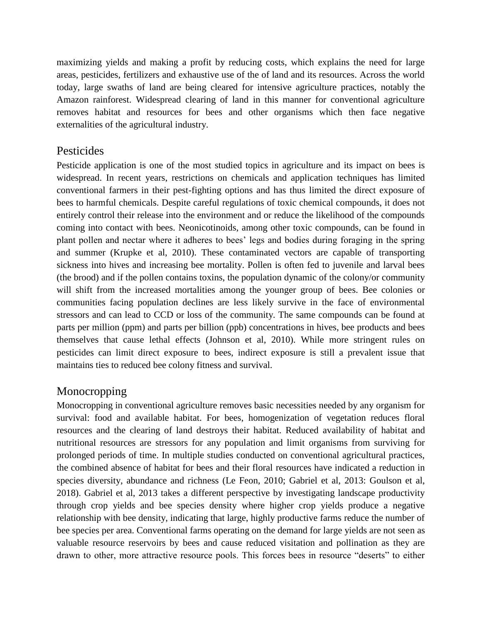maximizing yields and making a profit by reducing costs, which explains the need for large areas, pesticides, fertilizers and exhaustive use of the of land and its resources. Across the world today, large swaths of land are being cleared for intensive agriculture practices, notably the Amazon rainforest. Widespread clearing of land in this manner for conventional agriculture removes habitat and resources for bees and other organisms which then face negative externalities of the agricultural industry.

# Pesticides

Pesticide application is one of the most studied topics in agriculture and its impact on bees is widespread. In recent years, restrictions on chemicals and application techniques has limited conventional farmers in their pest-fighting options and has thus limited the direct exposure of bees to harmful chemicals. Despite careful regulations of toxic chemical compounds, it does not entirely control their release into the environment and or reduce the likelihood of the compounds coming into contact with bees. Neonicotinoids, among other toxic compounds, can be found in plant pollen and nectar where it adheres to bees' legs and bodies during foraging in the spring and summer (Krupke et al, 2010). These contaminated vectors are capable of transporting sickness into hives and increasing bee mortality. Pollen is often fed to juvenile and larval bees (the brood) and if the pollen contains toxins, the population dynamic of the colony/or community will shift from the increased mortalities among the younger group of bees. Bee colonies or communities facing population declines are less likely survive in the face of environmental stressors and can lead to CCD or loss of the community. The same compounds can be found at parts per million (ppm) and parts per billion (ppb) concentrations in hives, bee products and bees themselves that cause lethal effects (Johnson et al, 2010). While more stringent rules on pesticides can limit direct exposure to bees, indirect exposure is still a prevalent issue that maintains ties to reduced bee colony fitness and survival.

# Monocropping

Monocropping in conventional agriculture removes basic necessities needed by any organism for survival: food and available habitat. For bees, homogenization of vegetation reduces floral resources and the clearing of land destroys their habitat. Reduced availability of habitat and nutritional resources are stressors for any population and limit organisms from surviving for prolonged periods of time. In multiple studies conducted on conventional agricultural practices, the combined absence of habitat for bees and their floral resources have indicated a reduction in species diversity, abundance and richness (Le Feon, 2010; Gabriel et al, 2013: Goulson et al, 2018). Gabriel et al, 2013 takes a different perspective by investigating landscape productivity through crop yields and bee species density where higher crop yields produce a negative relationship with bee density, indicating that large, highly productive farms reduce the number of bee species per area. Conventional farms operating on the demand for large yields are not seen as valuable resource reservoirs by bees and cause reduced visitation and pollination as they are drawn to other, more attractive resource pools. This forces bees in resource "deserts" to either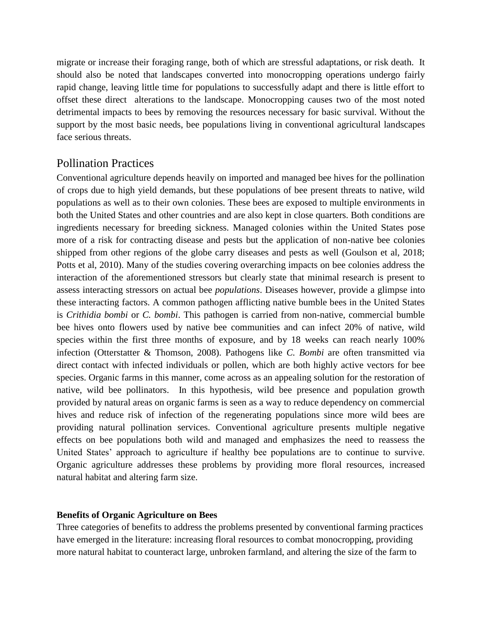migrate or increase their foraging range, both of which are stressful adaptations, or risk death. It should also be noted that landscapes converted into monocropping operations undergo fairly rapid change, leaving little time for populations to successfully adapt and there is little effort to offset these direct alterations to the landscape. Monocropping causes two of the most noted detrimental impacts to bees by removing the resources necessary for basic survival. Without the support by the most basic needs, bee populations living in conventional agricultural landscapes face serious threats.

# Pollination Practices

Conventional agriculture depends heavily on imported and managed bee hives for the pollination of crops due to high yield demands, but these populations of bee present threats to native, wild populations as well as to their own colonies. These bees are exposed to multiple environments in both the United States and other countries and are also kept in close quarters. Both conditions are ingredients necessary for breeding sickness. Managed colonies within the United States pose more of a risk for contracting disease and pests but the application of non-native bee colonies shipped from other regions of the globe carry diseases and pests as well (Goulson et al, 2018; Potts et al, 2010). Many of the studies covering overarching impacts on bee colonies address the interaction of the aforementioned stressors but clearly state that minimal research is present to assess interacting stressors on actual bee *populations*. Diseases however, provide a glimpse into these interacting factors. A common pathogen afflicting native bumble bees in the United States is *Crithidia bombi* or *C. bombi*. This pathogen is carried from non-native, commercial bumble bee hives onto flowers used by native bee communities and can infect 20% of native, wild species within the first three months of exposure, and by 18 weeks can reach nearly 100% infection (Otterstatter & Thomson, 2008). Pathogens like *C. Bombi* are often transmitted via direct contact with infected individuals or pollen, which are both highly active vectors for bee species. Organic farms in this manner, come across as an appealing solution for the restoration of native, wild bee pollinators. In this hypothesis, wild bee presence and population growth provided by natural areas on organic farms is seen as a way to reduce dependency on commercial hives and reduce risk of infection of the regenerating populations since more wild bees are providing natural pollination services. Conventional agriculture presents multiple negative effects on bee populations both wild and managed and emphasizes the need to reassess the United States' approach to agriculture if healthy bee populations are to continue to survive. Organic agriculture addresses these problems by providing more floral resources, increased natural habitat and altering farm size.

## **Benefits of Organic Agriculture on Bees**

Three categories of benefits to address the problems presented by conventional farming practices have emerged in the literature: increasing floral resources to combat monocropping, providing more natural habitat to counteract large, unbroken farmland, and altering the size of the farm to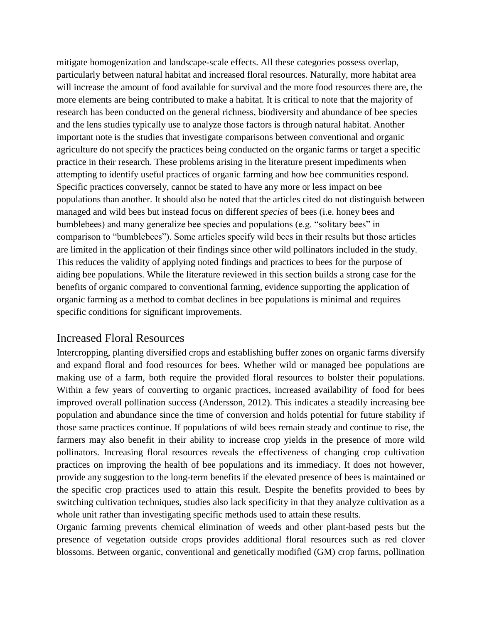mitigate homogenization and landscape-scale effects. All these categories possess overlap, particularly between natural habitat and increased floral resources. Naturally, more habitat area will increase the amount of food available for survival and the more food resources there are, the more elements are being contributed to make a habitat. It is critical to note that the majority of research has been conducted on the general richness, biodiversity and abundance of bee species and the lens studies typically use to analyze those factors is through natural habitat. Another important note is the studies that investigate comparisons between conventional and organic agriculture do not specify the practices being conducted on the organic farms or target a specific practice in their research. These problems arising in the literature present impediments when attempting to identify useful practices of organic farming and how bee communities respond. Specific practices conversely, cannot be stated to have any more or less impact on bee populations than another. It should also be noted that the articles cited do not distinguish between managed and wild bees but instead focus on different *species* of bees (i.e. honey bees and bumblebees) and many generalize bee species and populations (e.g. "solitary bees" in comparison to "bumblebees"). Some articles specify wild bees in their results but those articles are limited in the application of their findings since other wild pollinators included in the study. This reduces the validity of applying noted findings and practices to bees for the purpose of aiding bee populations. While the literature reviewed in this section builds a strong case for the benefits of organic compared to conventional farming, evidence supporting the application of organic farming as a method to combat declines in bee populations is minimal and requires specific conditions for significant improvements.

## Increased Floral Resources

Intercropping, planting diversified crops and establishing buffer zones on organic farms diversify and expand floral and food resources for bees. Whether wild or managed bee populations are making use of a farm, both require the provided floral resources to bolster their populations. Within a few years of converting to organic practices, increased availability of food for bees improved overall pollination success (Andersson, 2012). This indicates a steadily increasing bee population and abundance since the time of conversion and holds potential for future stability if those same practices continue. If populations of wild bees remain steady and continue to rise, the farmers may also benefit in their ability to increase crop yields in the presence of more wild pollinators. Increasing floral resources reveals the effectiveness of changing crop cultivation practices on improving the health of bee populations and its immediacy. It does not however, provide any suggestion to the long-term benefits if the elevated presence of bees is maintained or the specific crop practices used to attain this result. Despite the benefits provided to bees by switching cultivation techniques, studies also lack specificity in that they analyze cultivation as a whole unit rather than investigating specific methods used to attain these results.

Organic farming prevents chemical elimination of weeds and other plant-based pests but the presence of vegetation outside crops provides additional floral resources such as red clover blossoms. Between organic, conventional and genetically modified (GM) crop farms, pollination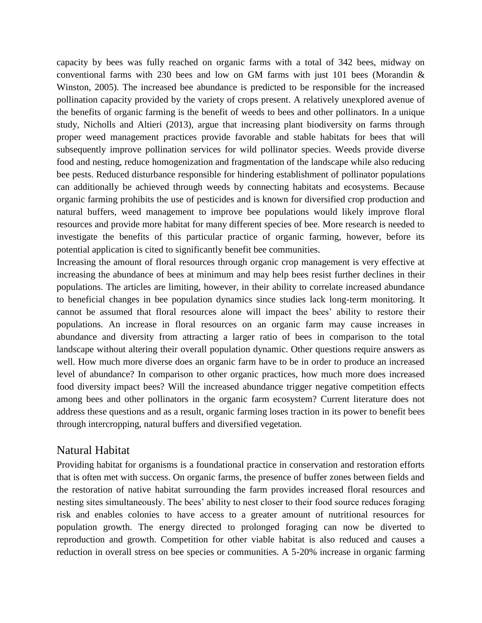capacity by bees was fully reached on organic farms with a total of 342 bees, midway on conventional farms with 230 bees and low on GM farms with just 101 bees (Morandin & Winston, 2005). The increased bee abundance is predicted to be responsible for the increased pollination capacity provided by the variety of crops present. A relatively unexplored avenue of the benefits of organic farming is the benefit of weeds to bees and other pollinators. In a unique study, Nicholls and Altieri (2013), argue that increasing plant biodiversity on farms through proper weed management practices provide favorable and stable habitats for bees that will subsequently improve pollination services for wild pollinator species. Weeds provide diverse food and nesting, reduce homogenization and fragmentation of the landscape while also reducing bee pests. Reduced disturbance responsible for hindering establishment of pollinator populations can additionally be achieved through weeds by connecting habitats and ecosystems. Because organic farming prohibits the use of pesticides and is known for diversified crop production and natural buffers, weed management to improve bee populations would likely improve floral resources and provide more habitat for many different species of bee. More research is needed to investigate the benefits of this particular practice of organic farming, however, before its potential application is cited to significantly benefit bee communities.

Increasing the amount of floral resources through organic crop management is very effective at increasing the abundance of bees at minimum and may help bees resist further declines in their populations. The articles are limiting, however, in their ability to correlate increased abundance to beneficial changes in bee population dynamics since studies lack long-term monitoring. It cannot be assumed that floral resources alone will impact the bees' ability to restore their populations. An increase in floral resources on an organic farm may cause increases in abundance and diversity from attracting a larger ratio of bees in comparison to the total landscape without altering their overall population dynamic. Other questions require answers as well. How much more diverse does an organic farm have to be in order to produce an increased level of abundance? In comparison to other organic practices, how much more does increased food diversity impact bees? Will the increased abundance trigger negative competition effects among bees and other pollinators in the organic farm ecosystem? Current literature does not address these questions and as a result, organic farming loses traction in its power to benefit bees through intercropping, natural buffers and diversified vegetation.

## Natural Habitat

Providing habitat for organisms is a foundational practice in conservation and restoration efforts that is often met with success. On organic farms, the presence of buffer zones between fields and the restoration of native habitat surrounding the farm provides increased floral resources and nesting sites simultaneously. The bees' ability to nest closer to their food source reduces foraging risk and enables colonies to have access to a greater amount of nutritional resources for population growth. The energy directed to prolonged foraging can now be diverted to reproduction and growth. Competition for other viable habitat is also reduced and causes a reduction in overall stress on bee species or communities. A 5-20% increase in organic farming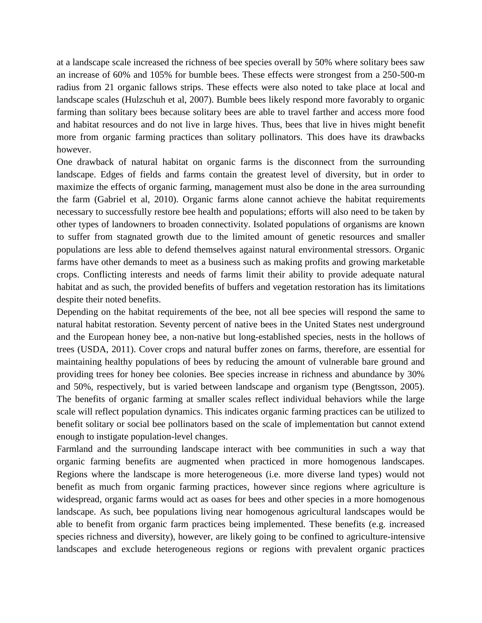at a landscape scale increased the richness of bee species overall by 50% where solitary bees saw an increase of 60% and 105% for bumble bees. These effects were strongest from a 250-500-m radius from 21 organic fallows strips. These effects were also noted to take place at local and landscape scales (Hulzschuh et al, 2007). Bumble bees likely respond more favorably to organic farming than solitary bees because solitary bees are able to travel farther and access more food and habitat resources and do not live in large hives. Thus, bees that live in hives might benefit more from organic farming practices than solitary pollinators. This does have its drawbacks however.

One drawback of natural habitat on organic farms is the disconnect from the surrounding landscape. Edges of fields and farms contain the greatest level of diversity, but in order to maximize the effects of organic farming, management must also be done in the area surrounding the farm (Gabriel et al, 2010). Organic farms alone cannot achieve the habitat requirements necessary to successfully restore bee health and populations; efforts will also need to be taken by other types of landowners to broaden connectivity. Isolated populations of organisms are known to suffer from stagnated growth due to the limited amount of genetic resources and smaller populations are less able to defend themselves against natural environmental stressors. Organic farms have other demands to meet as a business such as making profits and growing marketable crops. Conflicting interests and needs of farms limit their ability to provide adequate natural habitat and as such, the provided benefits of buffers and vegetation restoration has its limitations despite their noted benefits.

Depending on the habitat requirements of the bee, not all bee species will respond the same to natural habitat restoration. Seventy percent of native bees in the United States nest underground and the European honey bee, a non-native but long-established species, nests in the hollows of trees (USDA, 2011). Cover crops and natural buffer zones on farms, therefore, are essential for maintaining healthy populations of bees by reducing the amount of vulnerable bare ground and providing trees for honey bee colonies. Bee species increase in richness and abundance by 30% and 50%, respectively, but is varied between landscape and organism type (Bengtsson, 2005). The benefits of organic farming at smaller scales reflect individual behaviors while the large scale will reflect population dynamics. This indicates organic farming practices can be utilized to benefit solitary or social bee pollinators based on the scale of implementation but cannot extend enough to instigate population-level changes.

Farmland and the surrounding landscape interact with bee communities in such a way that organic farming benefits are augmented when practiced in more homogenous landscapes. Regions where the landscape is more heterogeneous (i.e. more diverse land types) would not benefit as much from organic farming practices, however since regions where agriculture is widespread, organic farms would act as oases for bees and other species in a more homogenous landscape. As such, bee populations living near homogenous agricultural landscapes would be able to benefit from organic farm practices being implemented. These benefits (e.g. increased species richness and diversity), however, are likely going to be confined to agriculture-intensive landscapes and exclude heterogeneous regions or regions with prevalent organic practices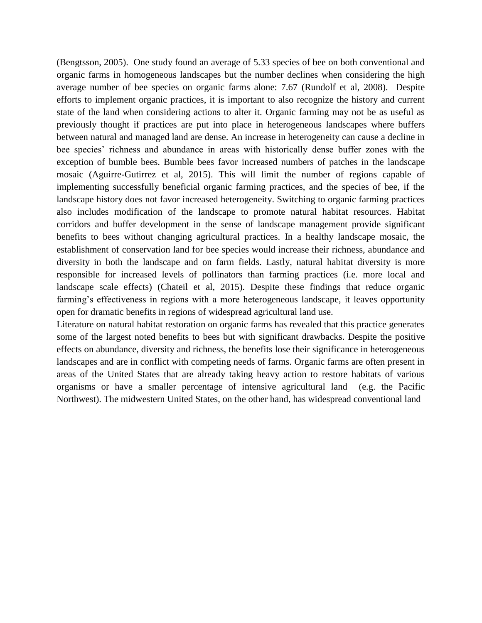(Bengtsson, 2005). One study found an average of 5.33 species of bee on both conventional and organic farms in homogeneous landscapes but the number declines when considering the high average number of bee species on organic farms alone: 7.67 (Rundolf et al, 2008). Despite efforts to implement organic practices, it is important to also recognize the history and current state of the land when considering actions to alter it. Organic farming may not be as useful as previously thought if practices are put into place in heterogeneous landscapes where buffers between natural and managed land are dense. An increase in heterogeneity can cause a decline in bee species' richness and abundance in areas with historically dense buffer zones with the exception of bumble bees. Bumble bees favor increased numbers of patches in the landscape mosaic (Aguirre-Gutirrez et al, 2015). This will limit the number of regions capable of implementing successfully beneficial organic farming practices, and the species of bee, if the landscape history does not favor increased heterogeneity. Switching to organic farming practices also includes modification of the landscape to promote natural habitat resources. Habitat corridors and buffer development in the sense of landscape management provide significant benefits to bees without changing agricultural practices. In a healthy landscape mosaic, the establishment of conservation land for bee species would increase their richness, abundance and diversity in both the landscape and on farm fields. Lastly, natural habitat diversity is more responsible for increased levels of pollinators than farming practices (i.e. more local and landscape scale effects) (Chateil et al, 2015). Despite these findings that reduce organic farming's effectiveness in regions with a more heterogeneous landscape, it leaves opportunity open for dramatic benefits in regions of widespread agricultural land use.

Literature on natural habitat restoration on organic farms has revealed that this practice generates some of the largest noted benefits to bees but with significant drawbacks. Despite the positive effects on abundance, diversity and richness, the benefits lose their significance in heterogeneous landscapes and are in conflict with competing needs of farms. Organic farms are often present in areas of the United States that are already taking heavy action to restore habitats of various organisms or have a smaller percentage of intensive agricultural land (e.g. the Pacific Northwest). The midwestern United States, on the other hand, has widespread conventional land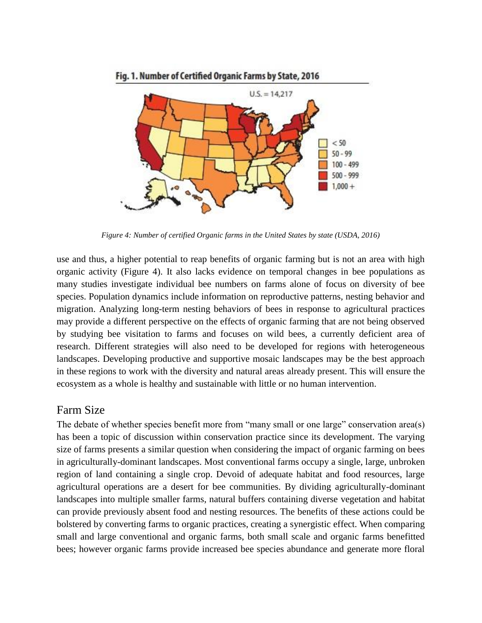

Fig. 1. Number of Certified Organic Farms by State, 2016

*Figure 4: Number of certified Organic farms in the United States by state (USDA, 2016)*

use and thus, a higher potential to reap benefits of organic farming but is not an area with high organic activity (Figure 4). It also lacks evidence on temporal changes in bee populations as many studies investigate individual bee numbers on farms alone of focus on diversity of bee species. Population dynamics include information on reproductive patterns, nesting behavior and migration. Analyzing long-term nesting behaviors of bees in response to agricultural practices may provide a different perspective on the effects of organic farming that are not being observed by studying bee visitation to farms and focuses on wild bees, a currently deficient area of research. Different strategies will also need to be developed for regions with heterogeneous landscapes. Developing productive and supportive mosaic landscapes may be the best approach in these regions to work with the diversity and natural areas already present. This will ensure the ecosystem as a whole is healthy and sustainable with little or no human intervention.

## Farm Size

The debate of whether species benefit more from "many small or one large" conservation area(s) has been a topic of discussion within conservation practice since its development. The varying size of farms presents a similar question when considering the impact of organic farming on bees in agriculturally-dominant landscapes. Most conventional farms occupy a single, large, unbroken region of land containing a single crop. Devoid of adequate habitat and food resources, large agricultural operations are a desert for bee communities. By dividing agriculturally-dominant landscapes into multiple smaller farms, natural buffers containing diverse vegetation and habitat can provide previously absent food and nesting resources. The benefits of these actions could be bolstered by converting farms to organic practices, creating a synergistic effect. When comparing small and large conventional and organic farms, both small scale and organic farms benefitted bees; however organic farms provide increased bee species abundance and generate more floral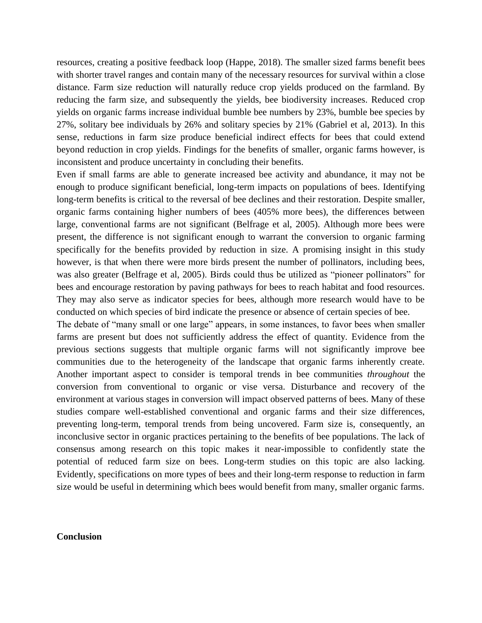resources, creating a positive feedback loop (Happe, 2018). The smaller sized farms benefit bees with shorter travel ranges and contain many of the necessary resources for survival within a close distance. Farm size reduction will naturally reduce crop yields produced on the farmland. By reducing the farm size, and subsequently the yields, bee biodiversity increases. Reduced crop yields on organic farms increase individual bumble bee numbers by 23%, bumble bee species by 27%, solitary bee individuals by 26% and solitary species by 21% (Gabriel et al, 2013). In this sense, reductions in farm size produce beneficial indirect effects for bees that could extend beyond reduction in crop yields. Findings for the benefits of smaller, organic farms however, is inconsistent and produce uncertainty in concluding their benefits.

Even if small farms are able to generate increased bee activity and abundance, it may not be enough to produce significant beneficial, long-term impacts on populations of bees. Identifying long-term benefits is critical to the reversal of bee declines and their restoration. Despite smaller, organic farms containing higher numbers of bees (405% more bees), the differences between large, conventional farms are not significant (Belfrage et al, 2005). Although more bees were present, the difference is not significant enough to warrant the conversion to organic farming specifically for the benefits provided by reduction in size. A promising insight in this study however, is that when there were more birds present the number of pollinators, including bees, was also greater (Belfrage et al, 2005). Birds could thus be utilized as "pioneer pollinators" for bees and encourage restoration by paving pathways for bees to reach habitat and food resources. They may also serve as indicator species for bees, although more research would have to be conducted on which species of bird indicate the presence or absence of certain species of bee.

The debate of "many small or one large" appears, in some instances, to favor bees when smaller farms are present but does not sufficiently address the effect of quantity. Evidence from the previous sections suggests that multiple organic farms will not significantly improve bee communities due to the heterogeneity of the landscape that organic farms inherently create. Another important aspect to consider is temporal trends in bee communities *throughout* the conversion from conventional to organic or vise versa. Disturbance and recovery of the environment at various stages in conversion will impact observed patterns of bees. Many of these studies compare well-established conventional and organic farms and their size differences, preventing long-term, temporal trends from being uncovered. Farm size is, consequently, an inconclusive sector in organic practices pertaining to the benefits of bee populations. The lack of consensus among research on this topic makes it near-impossible to confidently state the potential of reduced farm size on bees. Long-term studies on this topic are also lacking. Evidently, specifications on more types of bees and their long-term response to reduction in farm size would be useful in determining which bees would benefit from many, smaller organic farms.

### **Conclusion**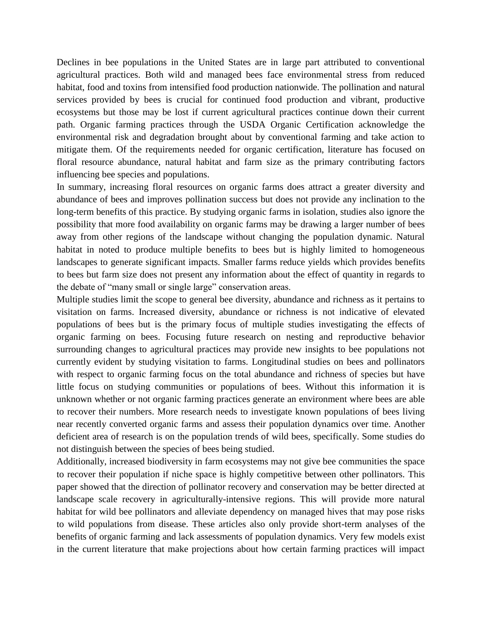Declines in bee populations in the United States are in large part attributed to conventional agricultural practices. Both wild and managed bees face environmental stress from reduced habitat, food and toxins from intensified food production nationwide. The pollination and natural services provided by bees is crucial for continued food production and vibrant, productive ecosystems but those may be lost if current agricultural practices continue down their current path. Organic farming practices through the USDA Organic Certification acknowledge the environmental risk and degradation brought about by conventional farming and take action to mitigate them. Of the requirements needed for organic certification, literature has focused on floral resource abundance, natural habitat and farm size as the primary contributing factors influencing bee species and populations.

In summary, increasing floral resources on organic farms does attract a greater diversity and abundance of bees and improves pollination success but does not provide any inclination to the long-term benefits of this practice. By studying organic farms in isolation, studies also ignore the possibility that more food availability on organic farms may be drawing a larger number of bees away from other regions of the landscape without changing the population dynamic. Natural habitat in noted to produce multiple benefits to bees but is highly limited to homogeneous landscapes to generate significant impacts. Smaller farms reduce yields which provides benefits to bees but farm size does not present any information about the effect of quantity in regards to the debate of "many small or single large" conservation areas.

Multiple studies limit the scope to general bee diversity, abundance and richness as it pertains to visitation on farms. Increased diversity, abundance or richness is not indicative of elevated populations of bees but is the primary focus of multiple studies investigating the effects of organic farming on bees. Focusing future research on nesting and reproductive behavior surrounding changes to agricultural practices may provide new insights to bee populations not currently evident by studying visitation to farms. Longitudinal studies on bees and pollinators with respect to organic farming focus on the total abundance and richness of species but have little focus on studying communities or populations of bees. Without this information it is unknown whether or not organic farming practices generate an environment where bees are able to recover their numbers. More research needs to investigate known populations of bees living near recently converted organic farms and assess their population dynamics over time. Another deficient area of research is on the population trends of wild bees, specifically. Some studies do not distinguish between the species of bees being studied.

Additionally, increased biodiversity in farm ecosystems may not give bee communities the space to recover their population if niche space is highly competitive between other pollinators. This paper showed that the direction of pollinator recovery and conservation may be better directed at landscape scale recovery in agriculturally-intensive regions. This will provide more natural habitat for wild bee pollinators and alleviate dependency on managed hives that may pose risks to wild populations from disease. These articles also only provide short-term analyses of the benefits of organic farming and lack assessments of population dynamics. Very few models exist in the current literature that make projections about how certain farming practices will impact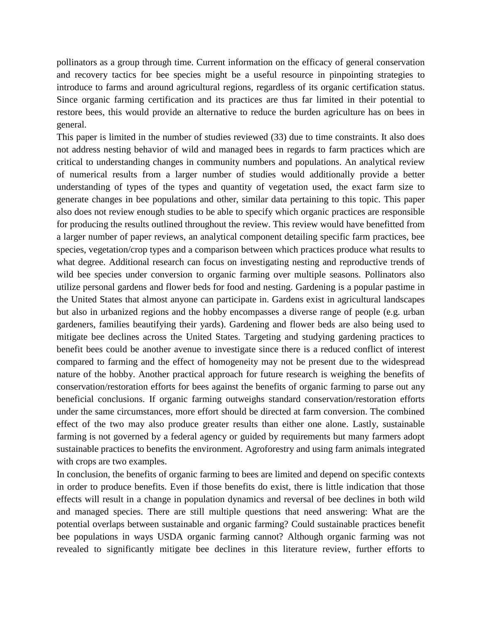pollinators as a group through time. Current information on the efficacy of general conservation and recovery tactics for bee species might be a useful resource in pinpointing strategies to introduce to farms and around agricultural regions, regardless of its organic certification status. Since organic farming certification and its practices are thus far limited in their potential to restore bees, this would provide an alternative to reduce the burden agriculture has on bees in general.

This paper is limited in the number of studies reviewed (33) due to time constraints. It also does not address nesting behavior of wild and managed bees in regards to farm practices which are critical to understanding changes in community numbers and populations. An analytical review of numerical results from a larger number of studies would additionally provide a better understanding of types of the types and quantity of vegetation used, the exact farm size to generate changes in bee populations and other, similar data pertaining to this topic. This paper also does not review enough studies to be able to specify which organic practices are responsible for producing the results outlined throughout the review. This review would have benefitted from a larger number of paper reviews, an analytical component detailing specific farm practices, bee species, vegetation/crop types and a comparison between which practices produce what results to what degree. Additional research can focus on investigating nesting and reproductive trends of wild bee species under conversion to organic farming over multiple seasons. Pollinators also utilize personal gardens and flower beds for food and nesting. Gardening is a popular pastime in the United States that almost anyone can participate in. Gardens exist in agricultural landscapes but also in urbanized regions and the hobby encompasses a diverse range of people (e.g. urban gardeners, families beautifying their yards). Gardening and flower beds are also being used to mitigate bee declines across the United States. Targeting and studying gardening practices to benefit bees could be another avenue to investigate since there is a reduced conflict of interest compared to farming and the effect of homogeneity may not be present due to the widespread nature of the hobby. Another practical approach for future research is weighing the benefits of conservation/restoration efforts for bees against the benefits of organic farming to parse out any beneficial conclusions. If organic farming outweighs standard conservation/restoration efforts under the same circumstances, more effort should be directed at farm conversion. The combined effect of the two may also produce greater results than either one alone. Lastly, sustainable farming is not governed by a federal agency or guided by requirements but many farmers adopt sustainable practices to benefits the environment. Agroforestry and using farm animals integrated with crops are two examples.

In conclusion, the benefits of organic farming to bees are limited and depend on specific contexts in order to produce benefits. Even if those benefits do exist, there is little indication that those effects will result in a change in population dynamics and reversal of bee declines in both wild and managed species. There are still multiple questions that need answering: What are the potential overlaps between sustainable and organic farming? Could sustainable practices benefit bee populations in ways USDA organic farming cannot? Although organic farming was not revealed to significantly mitigate bee declines in this literature review, further efforts to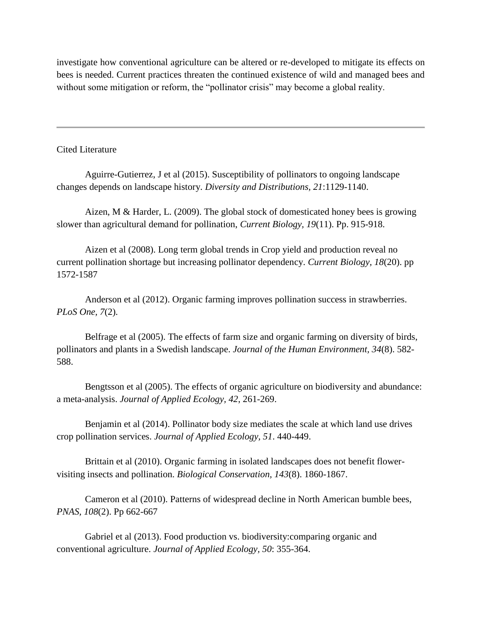investigate how conventional agriculture can be altered or re-developed to mitigate its effects on bees is needed. Current practices threaten the continued existence of wild and managed bees and without some mitigation or reform, the "pollinator crisis" may become a global reality.

#### Cited Literature

Aguirre-Gutierrez, J et al (2015). Susceptibility of pollinators to ongoing landscape changes depends on landscape history. *Diversity and Distributions, 21*:1129-1140.

Aizen, M & Harder, L. (2009). The global stock of domesticated honey bees is growing slower than agricultural demand for pollination, *Current Biology, 19*(11). Pp. 915-918.

Aizen et al (2008). Long term global trends in Crop yield and production reveal no current pollination shortage but increasing pollinator dependency. *Current Biology, 18*(20). pp 1572-1587

Anderson et al (2012). Organic farming improves pollination success in strawberries. *PLoS One, 7*(2).

Belfrage et al (2005). The effects of farm size and organic farming on diversity of birds, pollinators and plants in a Swedish landscape. *Journal of the Human Environment, 34*(8). 582- 588.

Bengtsson et al (2005). The effects of organic agriculture on biodiversity and abundance: a meta-analysis. *Journal of Applied Ecology, 42*, 261-269.

Benjamin et al (2014). Pollinator body size mediates the scale at which land use drives crop pollination services. *Journal of Applied Ecology, 51*. 440-449.

Brittain et al (2010). Organic farming in isolated landscapes does not benefit flowervisiting insects and pollination. *Biological Conservation, 143*(8). 1860-1867.

Cameron et al (2010). Patterns of widespread decline in North American bumble bees, *PNAS, 108*(2). Pp 662-667

Gabriel et al (2013). Food production vs. biodiversity:comparing organic and conventional agriculture. *Journal of Applied Ecology, 50*: 355-364.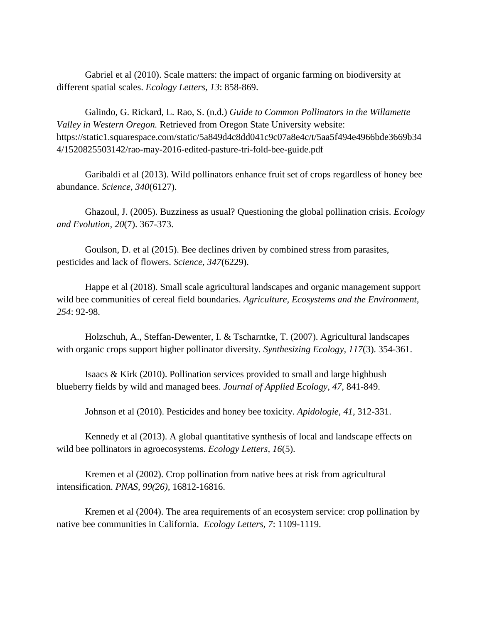Gabriel et al (2010). Scale matters: the impact of organic farming on biodiversity at different spatial scales. *Ecology Letters, 13*: 858-869.

Galindo, G. Rickard, L. Rao, S. (n.d.) *Guide to Common Pollinators in the Willamette Valley in Western Oregon.* Retrieved from Oregon State University website: https://static1.squarespace.com/static/5a849d4c8dd041c9c07a8e4c/t/5aa5f494e4966bde3669b34 4/1520825503142/rao-may-2016-edited-pasture-tri-fold-bee-guide.pdf

Garibaldi et al (2013). Wild pollinators enhance fruit set of crops regardless of honey bee abundance. *Science, 340*(6127).

Ghazoul, J. (2005). Buzziness as usual? Questioning the global pollination crisis. *Ecology and Evolution, 20*(7). 367-373.

Goulson, D. et al (2015). Bee declines driven by combined stress from parasites, pesticides and lack of flowers. *Science, 347*(6229).

Happe et al (2018). Small scale agricultural landscapes and organic management support wild bee communities of cereal field boundaries. *Agriculture, Ecosystems and the Environment, 254*: 92-98.

Holzschuh, A., Steffan-Dewenter, I. & Tscharntke, T. (2007). Agricultural landscapes with organic crops support higher pollinator diversity. *Synthesizing Ecology, 117*(3). 354-361.

Isaacs & Kirk (2010). Pollination services provided to small and large highbush blueberry fields by wild and managed bees. *Journal of Applied Ecology, 47,* 841-849.

Johnson et al (2010). Pesticides and honey bee toxicity. *Apidologie, 41,* 312-331.

Kennedy et al (2013). A global quantitative synthesis of local and landscape effects on wild bee pollinators in agroecosystems. *Ecology Letters, 16*(5).

Kremen et al (2002). Crop pollination from native bees at risk from agricultural intensification. *PNAS, 99(26),* 16812-16816.

Kremen et al (2004). The area requirements of an ecosystem service: crop pollination by native bee communities in California. *Ecology Letters, 7*: 1109-1119.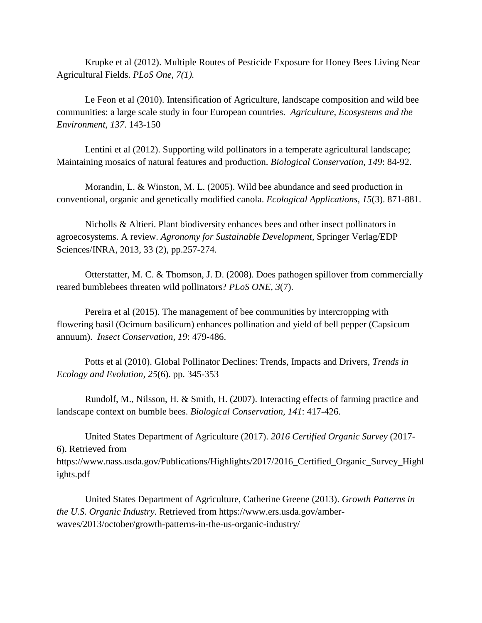Krupke et al (2012). Multiple Routes of Pesticide Exposure for Honey Bees Living Near Agricultural Fields. *PLoS One, 7(1).*

Le Feon et al (2010). Intensification of Agriculture, landscape composition and wild bee communities: a large scale study in four European countries. *Agriculture, Ecosystems and the Environment, 137*. 143-150

Lentini et al (2012). Supporting wild pollinators in a temperate agricultural landscape; Maintaining mosaics of natural features and production. *Biological Conservation, 149*: 84-92.

Morandin, L. & Winston, M. L. (2005). Wild bee abundance and seed production in conventional, organic and genetically modified canola. *Ecological Applications, 15*(3). 871-881.

Nicholls & Altieri. Plant biodiversity enhances bees and other insect pollinators in agroecosystems. A review. *Agronomy for Sustainable Development*, Springer Verlag/EDP Sciences/INRA, 2013, 33 (2), pp.257-274.

Otterstatter, M. C. & Thomson, J. D. (2008). Does pathogen spillover from commercially reared bumblebees threaten wild pollinators? *PLoS ONE, 3*(7).

Pereira et al (2015). The management of bee communities by intercropping with flowering basil (Ocimum basilicum) enhances pollination and yield of bell pepper (Capsicum annuum). *Insect Conservation, 19*: 479-486.

Potts et al (2010). Global Pollinator Declines: Trends, Impacts and Drivers, *Trends in Ecology and Evolution, 25*(6). pp. 345-353

Rundolf, M., Nilsson, H. & Smith, H. (2007). Interacting effects of farming practice and landscape context on bumble bees. *Biological Conservation, 141*: 417-426.

United States Department of Agriculture (2017). *2016 Certified Organic Survey* (2017- 6). Retrieved from https://www.nass.usda.gov/Publications/Highlights/2017/2016\_Certified\_Organic\_Survey\_Highl

ights.pdf

United States Department of Agriculture, Catherine Greene (2013). *Growth Patterns in the U.S. Organic Industry.* Retrieved from https://www.ers.usda.gov/amberwaves/2013/october/growth-patterns-in-the-us-organic-industry/